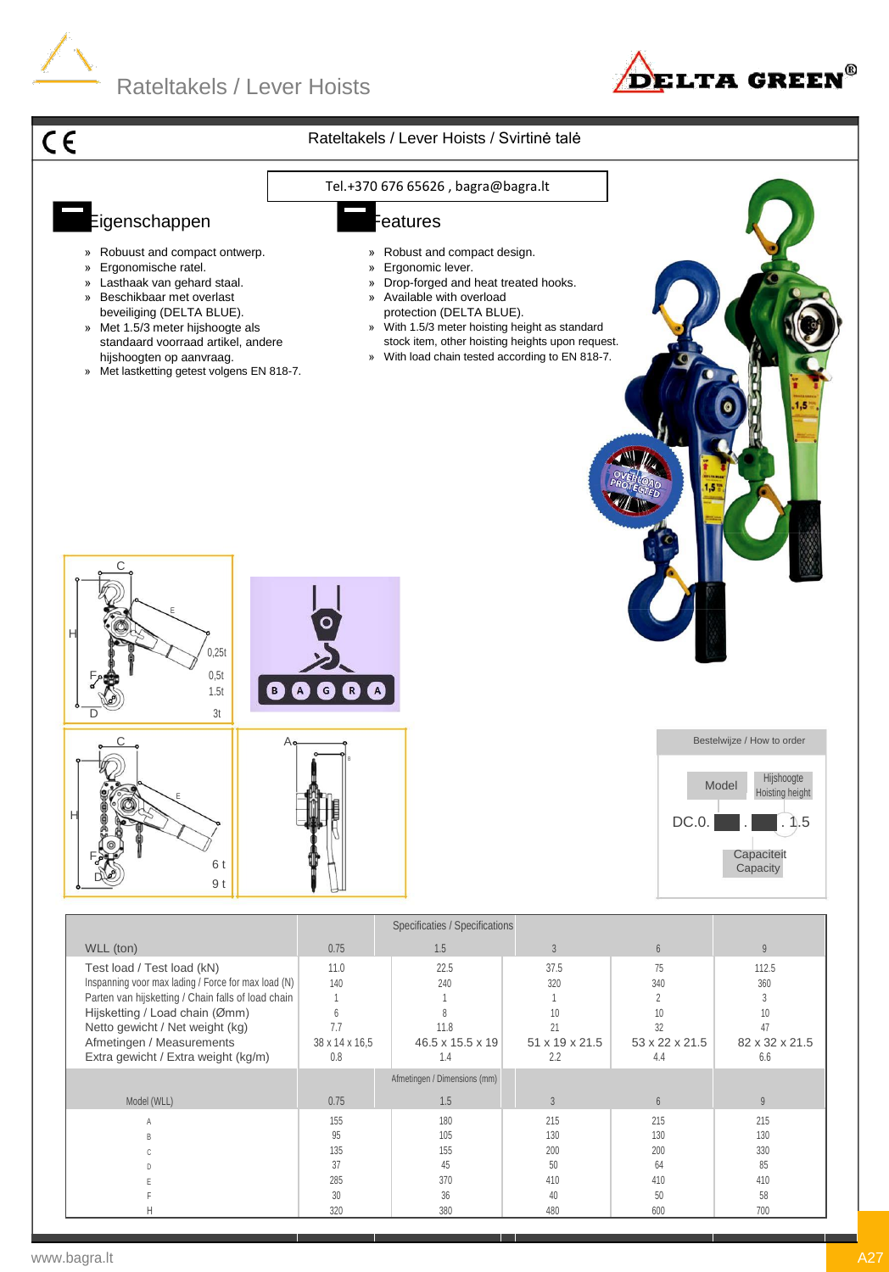